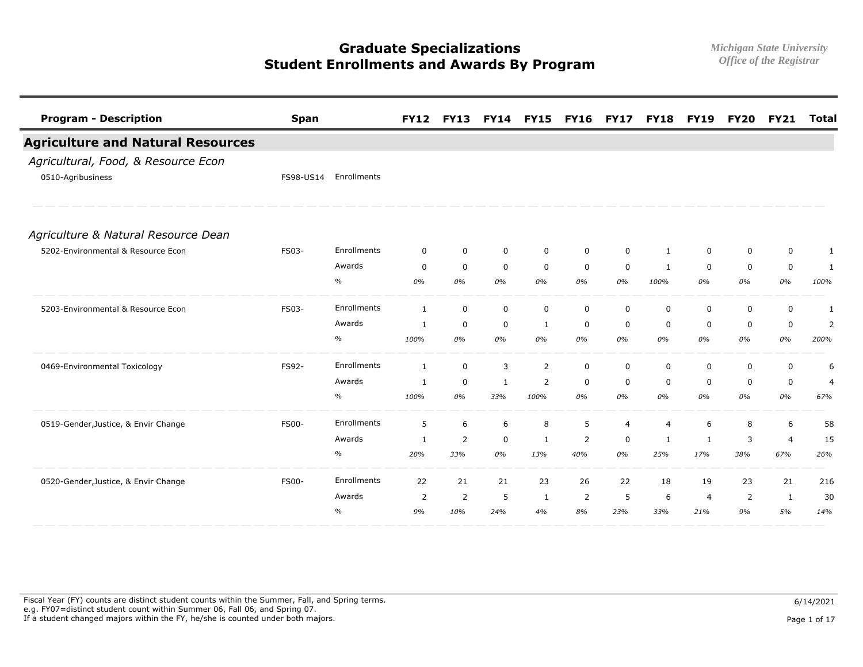| <b>Program - Description</b>             | <b>Span</b>  |               | <b>FY12</b>    | <b>FY13</b>    |             | <b>FY14 FY15</b> | <b>FY16</b>    | <b>FY17</b>    |                | <b>FY18 FY19</b> | <b>FY20</b> | <b>FY21</b>    | <b>Total</b>   |
|------------------------------------------|--------------|---------------|----------------|----------------|-------------|------------------|----------------|----------------|----------------|------------------|-------------|----------------|----------------|
| <b>Agriculture and Natural Resources</b> |              |               |                |                |             |                  |                |                |                |                  |             |                |                |
| Agricultural, Food, & Resource Econ      |              |               |                |                |             |                  |                |                |                |                  |             |                |                |
| 0510-Agribusiness                        | FS98-US14    | Enrollments   |                |                |             |                  |                |                |                |                  |             |                |                |
| Agriculture & Natural Resource Dean      |              |               |                |                |             |                  |                |                |                |                  |             |                |                |
| 5202-Environmental & Resource Econ       | FS03-        | Enrollments   | 0              | $\mathbf 0$    | $\mathbf 0$ | 0                | $\Omega$       | 0              | 1              | $\Omega$         | 0           | 0              | 1              |
|                                          |              | Awards        | $\mathbf 0$    | 0              | $\mathbf 0$ | $\mathbf 0$      | $\mathbf 0$    | $\mathbf 0$    | 1              | $\mathbf 0$      | $\mathbf 0$ | $\mathbf 0$    | 1              |
|                                          |              | $\%$          | 0%             | 0%             | 0%          | 0%               | 0%             | 0%             | 100%           | 0%               | 0%          | 0%             | 100%           |
| 5203-Environmental & Resource Econ       | FS03-        | Enrollments   | 1              | $\mathbf 0$    | $\mathbf 0$ | 0                | 0              | 0              | 0              | 0                | 0           | 0              | 1              |
|                                          |              | Awards        | $\mathbf{1}$   | $\mathbf 0$    | $\mathbf 0$ | 1                | $\mathbf 0$    | $\mathbf 0$    | $\Omega$       | $\mathbf 0$      | $\mathbf 0$ | 0              | 2              |
|                                          |              | $\%$          | 100%           | 0%             | 0%          | 0%               | 0%             | 0%             | 0%             | 0%               | 0%          | 0%             | 200%           |
| 0469-Environmental Toxicology            | FS92-        | Enrollments   | 1              | $\mathbf 0$    | 3           | 2                | $\mathbf 0$    | 0              | $\mathbf 0$    | 0                | $\mathbf 0$ | $\mathbf 0$    | 6              |
|                                          |              | Awards        | 1              | $\mathbf 0$    | 1           | 2                | $\mathbf 0$    | $\mathbf 0$    | 0              | 0                | $\mathbf 0$ | 0              | $\overline{4}$ |
|                                          |              | %             | 100%           | 0%             | 33%         | 100%             | 0%             | 0%             | 0%             | 0%               | 0%          | 0%             | 67%            |
| 0519-Gender, Justice, & Envir Change     | <b>FS00-</b> | Enrollments   | 5              | 6              | 6           | 8                | 5              | $\overline{4}$ | $\overline{4}$ | 6                | 8           | 6              | 58             |
|                                          |              | Awards        | 1              | $\overline{2}$ | $\mathbf 0$ | 1                | $\overline{2}$ | 0              | 1              | 1                | 3           | $\overline{4}$ | 15             |
|                                          |              | $\%$          | 20%            | 33%            | 0%          | 13%              | 40%            | 0%             | 25%            | 17%              | 38%         | 67%            | 26%            |
| 0520-Gender, Justice, & Envir Change     | <b>FS00-</b> | Enrollments   | 22             | 21             | 21          | 23               | 26             | 22             | 18             | 19               | 23          | 21             | 216            |
|                                          |              | Awards        | $\overline{2}$ | $\overline{2}$ | 5           | 1                | 2              | -5             | 6              | $\overline{4}$   | 2           | 1              | 30             |
|                                          |              | $\frac{0}{0}$ | 9%             | 10%            | 24%         | 4%               | 8%             | 23%            | 33%            | 21%              | 9%          | 5%             | 14%            |

Fiscal Year (FY) counts are distinct student counts within the Summer, Fall, and Spring terms.  $6/14/2021$  e.g. FY07=distinct student count within Summer 06, Fall 06, and Spring 07. If a student changed majors within the FY, he/she is counted under both majors. Page 1 of 17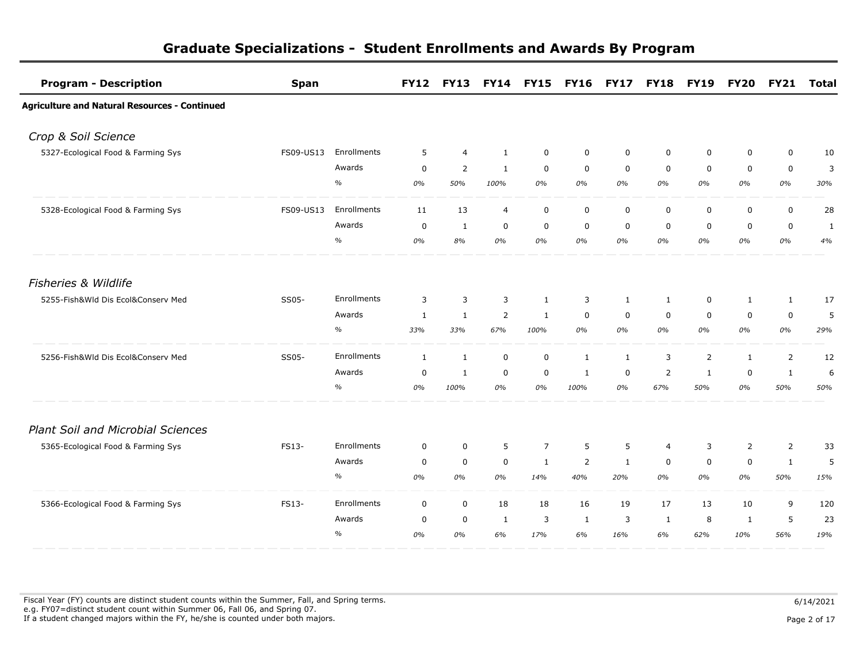| <b>Program - Description</b>                         | <b>Span</b> |             | <b>FY12</b>  |                | FY13 FY14 FY15 |                | FY16 FY17 FY18 FY19 |             |                |             | <b>FY20</b>  | <b>FY21</b>    | <b>Total</b> |
|------------------------------------------------------|-------------|-------------|--------------|----------------|----------------|----------------|---------------------|-------------|----------------|-------------|--------------|----------------|--------------|
| <b>Agriculture and Natural Resources - Continued</b> |             |             |              |                |                |                |                     |             |                |             |              |                |              |
| Crop & Soil Science                                  |             |             |              |                |                |                |                     |             |                |             |              |                |              |
| 5327-Ecological Food & Farming Sys                   | FS09-US13   | Enrollments | 5            | $\overline{4}$ | 1              | 0              | $\mathbf 0$         | $\mathbf 0$ | $\mathbf 0$    | 0           | $\mathbf 0$  | $\mathbf 0$    | 10           |
|                                                      |             | Awards      | $\mathbf 0$  | 2              | $\mathbf{1}$   | $\mathbf 0$    | $\mathbf 0$         | $\mathbf 0$ | $\mathbf 0$    | $\mathbf 0$ | $\mathbf 0$  | $\mathbf 0$    | 3            |
|                                                      |             | $\%$        | 0%           | 50%            | 100%           | 0%             | 0%                  | 0%          | 0%             | 0%          | 0%           | 0%             | 30%          |
| 5328-Ecological Food & Farming Sys                   | FS09-US13   | Enrollments | 11           | 13             | $\overline{4}$ | $\mathbf 0$    | $\mathbf 0$         | $\mathsf 0$ | $\mathbf 0$    | 0           | $\mathbf 0$  | $\mathbf 0$    | 28           |
|                                                      |             | Awards      | $\mathbf 0$  | $\mathbf{1}$   | $\mathbf 0$    | $\mathbf 0$    | $\mathbf 0$         | $\mathbf 0$ | $\mathbf 0$    | $\mathbf 0$ | $\mathbf 0$  | $\mathbf 0$    | $\mathbf{1}$ |
|                                                      |             | $\%$        | 0%           | 8%             | 0%             | 0%             | 0%                  | 0%          | 0%             | 0%          | 0%           | 0%             | 4%           |
| <b>Fisheries &amp; Wildlife</b>                      |             |             |              |                |                |                |                     |             |                |             |              |                |              |
| 5255-Fish&Wld Dis Ecol&Conserv Med                   | SS05-       | Enrollments | 3            | 3              | 3              | $\mathbf{1}$   | 3                   | 1           | 1              | 0           | 1            | $\mathbf{1}$   | 17           |
|                                                      |             | Awards      | $\mathbf{1}$ | $\mathbf{1}$   | $\overline{2}$ | $\mathbf{1}$   | $\mathbf 0$         | $\mathbf 0$ | $\mathbf 0$    | $\mathbf 0$ | $\mathbf 0$  | $\mathbf 0$    | 5            |
|                                                      |             | $\%$        | 33%          | 33%            | 67%            | 100%           | 0%                  | 0%          | 0%             | 0%          | 0%           | 0%             | 29%          |
| 5256-Fish&Wld Dis Ecol&Conserv Med                   | SS05-       | Enrollments | 1            | $\mathbf{1}$   | $\mathbf 0$    | $\mathbf 0$    | 1                   | 1           | 3              | 2           | $\mathbf{1}$ | $\overline{2}$ | 12           |
|                                                      |             | Awards      | 0            | 1              | $\mathbf 0$    | 0              | 1                   | 0           | $\overline{2}$ | 1           | 0            | $\mathbf{1}$   | 6            |
|                                                      |             | $\%$        | 0%           | 100%           | 0%             | 0%             | 100%                | 0%          | 67%            | 50%         | 0%           | 50%            | 50%          |
| <b>Plant Soil and Microbial Sciences</b>             |             |             |              |                |                |                |                     |             |                |             |              |                |              |
| 5365-Ecological Food & Farming Sys                   | FS13-       | Enrollments | $\mathbf 0$  | 0              | 5              | $\overline{7}$ | 5                   | 5           | $\overline{4}$ | 3           | 2            | $\overline{2}$ | 33           |
|                                                      |             | Awards      | 0            | $\mathbf 0$    | $\mathbf 0$    | $\mathbf{1}$   | $\overline{2}$      | 1           | $\mathbf 0$    | $\mathbf 0$ | $\mathbf 0$  | $\mathbf{1}$   | 5            |
|                                                      |             | $\%$        | 0%           | 0%             | 0%             | 14%            | 40%                 | 20%         | 0%             | 0%          | 0%           | 50%            | 15%          |
| 5366-Ecological Food & Farming Sys                   | FS13-       | Enrollments | $\mathbf 0$  | $\mathbf 0$    | 18             | 18             | 16                  | 19          | 17             | 13          | 10           | 9              | 120          |
|                                                      |             | Awards      | 0            | $\mathbf 0$    | 1              | 3              | 1                   | 3           | 1              | 8           | 1            | 5              | 23           |
|                                                      |             | $\%$        | 0%           | 0%             | 6%             | 17%            | 6%                  | 16%         | 6%             | 62%         | 10%          | 56%            | 19%          |

Fiscal Year (FY) counts are distinct student counts within the Summer, Fall, and Spring terms.  $6/14/2021$  e.g. FY07=distinct student count within Summer 06, Fall 06, and Spring 07. If a student changed majors within the FY, he/she is counted under both majors. Page 2 of 17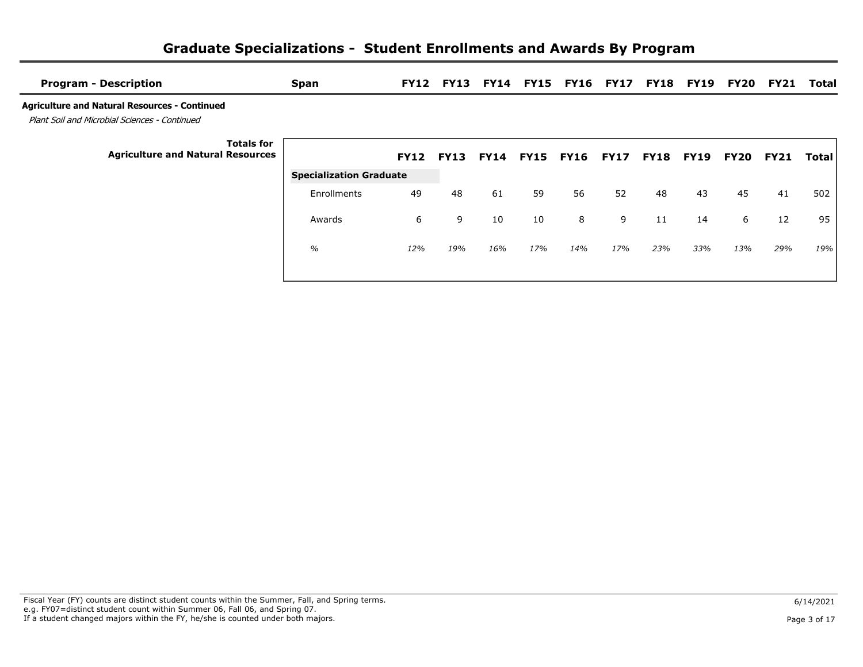| <b>Program - Description</b>                                                                          | <b>Span</b>                    |             | <b>FY12 FY13</b> |             |             | <b>FY14 FY15 FY16</b> | <b>FY17</b> | <b>FY18</b> | FY19        | FY20 | FY21        | Total        |
|-------------------------------------------------------------------------------------------------------|--------------------------------|-------------|------------------|-------------|-------------|-----------------------|-------------|-------------|-------------|------|-------------|--------------|
| <b>Agriculture and Natural Resources - Continued</b><br>Plant Soil and Microbial Sciences - Continued |                                |             |                  |             |             |                       |             |             |             |      |             |              |
| <b>Totals for</b><br><b>Agriculture and Natural Resources</b>                                         |                                | <b>FY12</b> | <b>FY13</b>      | <b>FY14</b> | <b>FY15</b> | <b>FY16</b>           | <b>FY17</b> | <b>FY18</b> | <b>FY19</b> | FY20 | <b>FY21</b> | <b>Total</b> |
|                                                                                                       | <b>Specialization Graduate</b> |             |                  |             |             |                       |             |             |             |      |             |              |
|                                                                                                       | Enrollments                    | 49          | 48               | 61          | 59          | 56                    | 52          | 48          | 43          | 45   | 41          | 502          |
|                                                                                                       | Awards                         | 6           | 9                | 10          | 10          | 8                     | 9           | 11          | 14          | 6    | 12          | 95           |
|                                                                                                       | $\frac{0}{0}$                  | 12%         | 19%              | 16%         | 17%         | 14%                   | 17%         | 23%         | 33%         | 13%  | 29%         | 19%          |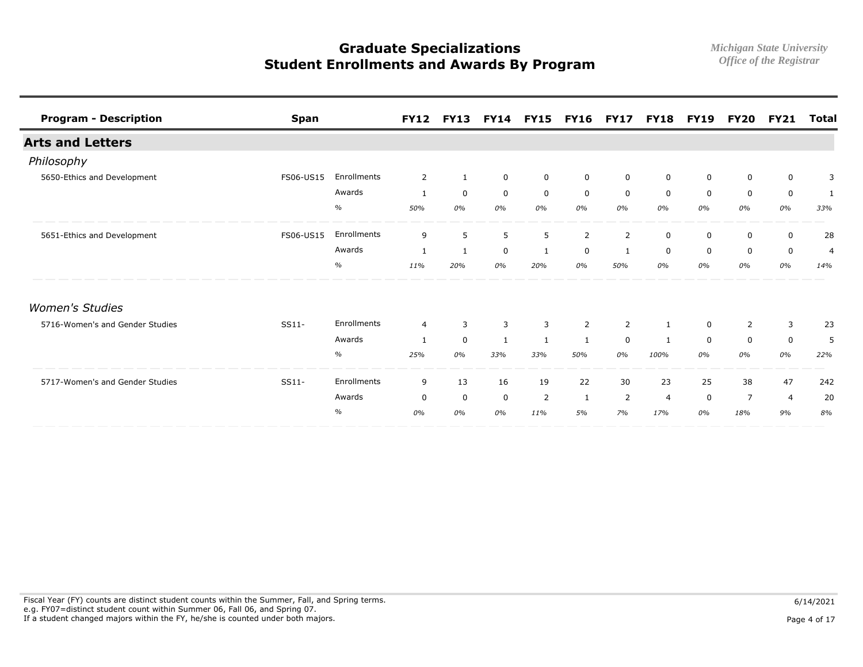| <b>Program - Description</b>    | <b>Span</b> |             | <b>FY12</b>    | <b>FY13</b>  |              | <b>FY14 FY15</b> | <b>FY16</b>    | <b>FY17</b>    | <b>FY18</b>    | <b>FY19</b> | <b>FY20</b> | <b>FY21</b> | <b>Total</b>   |
|---------------------------------|-------------|-------------|----------------|--------------|--------------|------------------|----------------|----------------|----------------|-------------|-------------|-------------|----------------|
| <b>Arts and Letters</b>         |             |             |                |              |              |                  |                |                |                |             |             |             |                |
| Philosophy                      |             |             |                |              |              |                  |                |                |                |             |             |             |                |
| 5650-Ethics and Development     | FS06-US15   | Enrollments | 2              | $\mathbf{1}$ | 0            | $\mathbf 0$      | $\mathbf 0$    | $\mathbf 0$    | 0              | 0           | $\mathbf 0$ | $\mathbf 0$ | 3              |
|                                 |             | Awards      | 1              | $\mathbf 0$  | $\mathbf 0$  | 0                | 0              | 0              | 0              | $\mathbf 0$ | 0           | $\mathbf 0$ | 1              |
|                                 |             | $\%$        | 50%            | 0%           | 0%           | 0%               | 0%             | 0%             | 0%             | 0%          | 0%          | 0%          | 33%            |
| 5651-Ethics and Development     | FS06-US15   | Enrollments | 9              | 5            | 5            | 5                | 2              | $\overline{2}$ | 0              | 0           | 0           | $\mathbf 0$ | 28             |
|                                 |             | Awards      | 1              | $\mathbf{1}$ | $\mathbf 0$  | 1                | $\mathbf 0$    | 1              | $\Omega$       | $\Omega$    | $\mathbf 0$ | $\mathbf 0$ | $\overline{4}$ |
|                                 |             | $\%$        | 11%            | 20%          | 0%           | 20%              | 0%             | 50%            | 0%             | 0%          | 0%          | 0%          | 14%            |
| <b>Women's Studies</b>          |             |             |                |              |              |                  |                |                |                |             |             |             |                |
| 5716-Women's and Gender Studies | SS11-       | Enrollments | $\overline{4}$ | 3            | 3            | 3                | $\overline{2}$ | $\overline{2}$ |                | 0           | 2           | 3           | 23             |
|                                 |             | Awards      | $\mathbf{1}$   | $\mathbf 0$  | $\mathbf{1}$ | 1                | 1              | $\mathbf 0$    | 1              | $\mathbf 0$ | $\mathbf 0$ | $\mathbf 0$ | 5              |
|                                 |             | $\%$        | 25%            | 0%           | 33%          | 33%              | 50%            | 0%             | 100%           | 0%          | 0%          | 0%          | 22%            |
| 5717-Women's and Gender Studies | $SS11-$     | Enrollments | 9              | 13           | 16           | 19               | 22             | 30             | 23             | 25          | 38          | 47          | 242            |
|                                 |             | Awards      | 0              | $\mathbf 0$  | $\mathbf 0$  | 2                | 1              | 2              | $\overline{4}$ | $\mathbf 0$ | 7           | 4           | 20             |
|                                 |             | $\%$        | 0%             | 0%           | 0%           | 11%              | 5%             | 7%             | 17%            | 0%          | 18%         | 9%          | 8%             |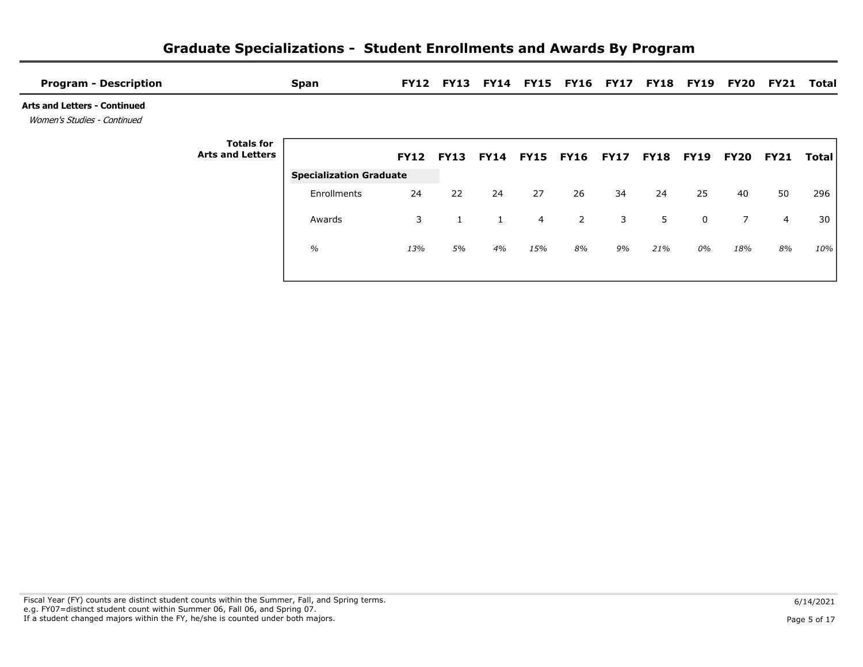| <b>Program - Description</b>                                       |                                              | <b>Span</b>                    |                  |    |                  |     | FY12 FY13 FY14 FY15 FY16 FY17 FY18 FY19 FY20 |             |             |             |             | <b>FY21</b>    | Total |
|--------------------------------------------------------------------|----------------------------------------------|--------------------------------|------------------|----|------------------|-----|----------------------------------------------|-------------|-------------|-------------|-------------|----------------|-------|
| <b>Arts and Letters - Continued</b><br>Women's Studies - Continued |                                              |                                |                  |    |                  |     |                                              |             |             |             |             |                |       |
|                                                                    | <b>Totals for</b><br><b>Arts and Letters</b> |                                | <b>FY12 FY13</b> |    | <b>FY14 FY15</b> |     | <b>FY16</b>                                  | <b>FY17</b> | <b>FY18</b> | <b>FY19</b> | <b>FY20</b> | <b>FY21</b>    | Total |
|                                                                    |                                              | <b>Specialization Graduate</b> |                  |    |                  |     |                                              |             |             |             |             |                |       |
|                                                                    |                                              | Enrollments                    | 24               | 22 | 24               | 27  | 26                                           | 34          | 24          | 25          | 40          | 50             | 296   |
|                                                                    |                                              | Awards                         | 3                |    | $\mathbf{1}$     | 4   | $\overline{2}$                               | 3           | 5           | 0           | $7^{\circ}$ | $\overline{4}$ | 30    |
|                                                                    |                                              | $\%$                           | 13%              | 5% | 4%               | 15% | 8%                                           | 9%          | 21%         | 0%          | 18%         | 8%             | 10%   |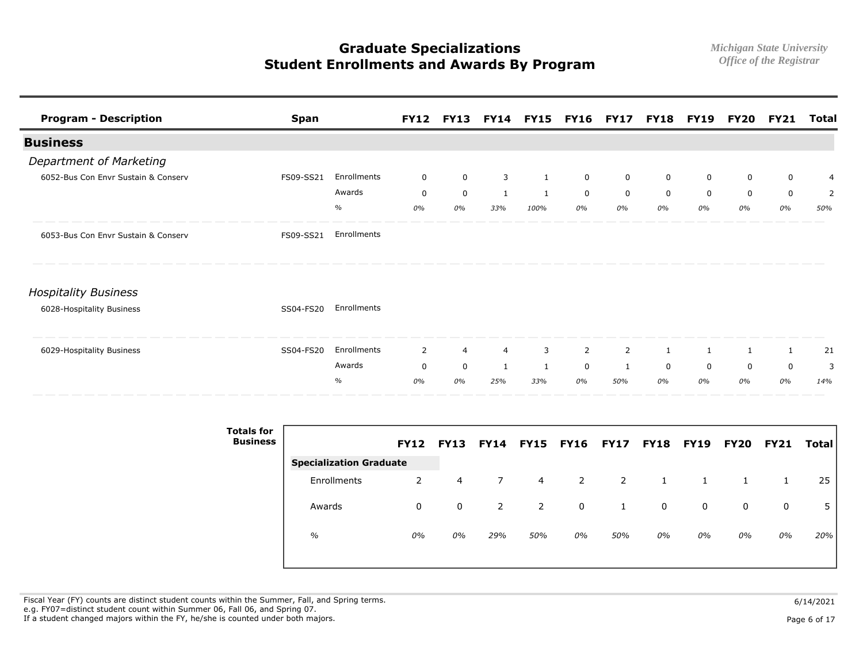| <b>Program - Description</b>        | <b>Span</b> |             |                | <b>FY12 FY13</b> |              | FY14 FY15 FY16 FY17 FY18 FY19 FY20 |                |                |             |             |             | FY21         | Total |
|-------------------------------------|-------------|-------------|----------------|------------------|--------------|------------------------------------|----------------|----------------|-------------|-------------|-------------|--------------|-------|
| <b>Business</b>                     |             |             |                |                  |              |                                    |                |                |             |             |             |              |       |
| Department of Marketing             |             |             |                |                  |              |                                    |                |                |             |             |             |              |       |
| 6052-Bus Con Envr Sustain & Conserv | FS09-SS21   | Enrollments | $\mathbf 0$    | $\mathbf 0$      | 3            | 1                                  | $\mathbf 0$    | $\mathbf 0$    | $\mathbf 0$ | $\mathbf 0$ | $\mathbf 0$ | $\mathbf 0$  | 4     |
|                                     |             | Awards      | $\mathbf 0$    | $\mathsf 0$      | $\mathbf{1}$ | 1                                  | $\mathbf 0$    | $\mathbf 0$    | $\mathbf 0$ | $\mathbf 0$ | $\mathbf 0$ | $\mathbf 0$  | 2     |
|                                     |             | $\%$        | 0%             | 0%               | 33%          | 100%                               | 0%             | 0%             | 0%          | 0%          | 0%          | 0%           | 50%   |
| 6053-Bus Con Envr Sustain & Conserv | FS09-SS21   | Enrollments |                |                  |              |                                    |                |                |             |             |             |              |       |
| <b>Hospitality Business</b>         |             |             |                |                  |              |                                    |                |                |             |             |             |              |       |
| 6028-Hospitality Business           | SS04-FS20   | Enrollments |                |                  |              |                                    |                |                |             |             |             |              |       |
| 6029-Hospitality Business           | SS04-FS20   | Enrollments | $\overline{2}$ | 4                | 4            | 3                                  | $\overline{2}$ | $\overline{2}$ | 1           | 1           | 1           | $\mathbf{1}$ | 21    |
|                                     |             | Awards      | $\mathbf 0$    | $\mathbf 0$      | $\mathbf{1}$ | $\mathbf{1}$                       | $\mathbf 0$    | 1              | $\mathbf 0$ | $\mathbf 0$ | $\mathbf 0$ | $\mathbf 0$  | 3     |
|                                     |             | $\%$        | 0%             | 0%               | 25%          | 33%                                | 0%             | 50%            | 0%          | 0%          | 0%          | 0%           | 14%   |

| <b>Totals for</b><br><b>Business</b> |                                | <b>FY12</b> | <b>FY13</b> | <b>FY14</b> |     | <b>FY15 FY16 FY17</b> |     | <b>FY18 FY19</b> |    | <b>FY20</b> | <b>FY21</b> | <b>Total</b> |
|--------------------------------------|--------------------------------|-------------|-------------|-------------|-----|-----------------------|-----|------------------|----|-------------|-------------|--------------|
|                                      | <b>Specialization Graduate</b> |             |             |             |     |                       |     |                  |    |             |             |              |
|                                      | Enrollments                    | 2           | 4           | 7           | 4   | 2                     | 2   |                  |    |             |             | 25           |
|                                      | Awards                         | 0           | 0           | 2           | 2   | $\mathbf 0$           |     | 0                | 0  | 0           | 0           |              |
|                                      | $\frac{0}{0}$                  | 0%          | 0%          | 29%         | 50% | 0%                    | 50% | 0%               | 0% | 0%          | 0%          | 20%          |

Fiscal Year (FY) counts are distinct student counts within the Summer, Fall, and Spring terms.  $6/14/2021$  e.g. FY07=distinct student count within Summer 06, Fall 06, and Spring 07. If a student changed majors within the FY, he/she is counted under both majors. Page 6 of 17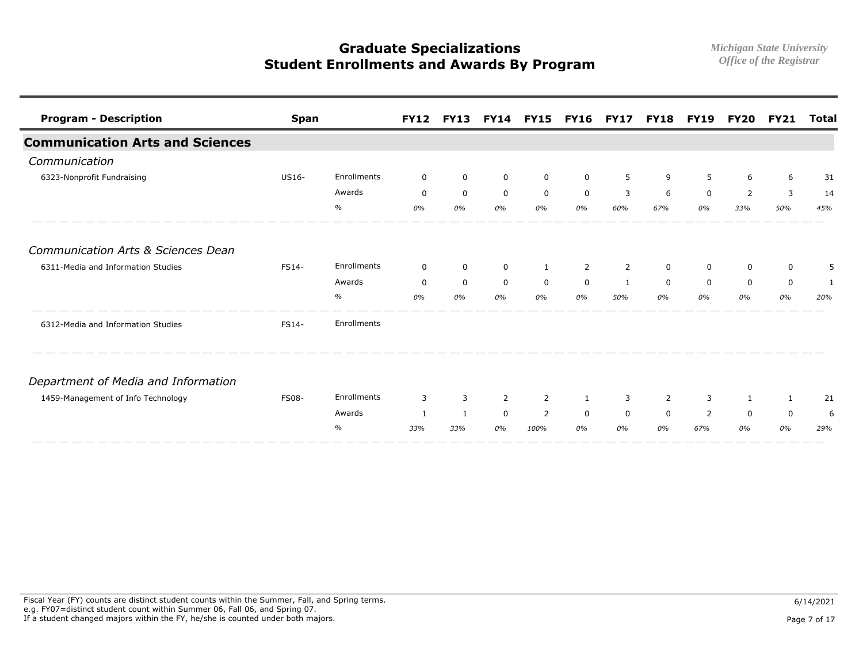| <b>Program - Description</b>           | <b>Span</b>  |             | <b>FY12</b>  | <b>FY13</b>      |                | <b>FY14 FY15</b> | <b>FY16</b> | <b>FY17</b>    | <b>FY18</b>    | <b>FY19</b> | <b>FY20</b> | <b>FY21</b>  | Total |
|----------------------------------------|--------------|-------------|--------------|------------------|----------------|------------------|-------------|----------------|----------------|-------------|-------------|--------------|-------|
| <b>Communication Arts and Sciences</b> |              |             |              |                  |                |                  |             |                |                |             |             |              |       |
| Communication                          |              |             |              |                  |                |                  |             |                |                |             |             |              |       |
| 6323-Nonprofit Fundraising             | US16-        | Enrollments | $\mathbf 0$  | $\mathbf 0$      | 0              | 0                | $\mathbf 0$ | 5              | 9              | 5           | 6           | 6            | 31    |
|                                        |              | Awards      | $\mathbf 0$  | $\mathbf 0$      | $\mathbf 0$    | $\mathbf 0$      | $\mathbf 0$ | 3              | 6              | $\mathbf 0$ | 2           | 3            | 14    |
|                                        |              | $\%$        | 0%           | 0%               | 0%             | 0%               | 0%          | 60%            | 67%            | 0%          | 33%         | 50%          | 45%   |
| Communication Arts & Sciences Dean     |              |             |              |                  |                |                  |             |                |                |             |             |              |       |
| 6311-Media and Information Studies     | FS14-        | Enrollments | $\mathbf 0$  | $\mathbf 0$      | $\mathbf 0$    | $\mathbf{1}$     | 2           | $\overline{2}$ | $\mathbf 0$    | $\mathbf 0$ | $\mathbf 0$ | $\mathbf 0$  | 5     |
|                                        |              | Awards      | $\mathbf 0$  | $\boldsymbol{0}$ | $\mathbf 0$    | $\mathsf{O}$     | $\mathbf 0$ | $\mathbf{1}$   | $\mathbf 0$    | $\mathbf 0$ | $\mathbf 0$ | $\mathbf 0$  | 1     |
|                                        |              | $\%$        | 0%           | 0%               | 0%             | 0%               | 0%          | 50%            | 0%             | 0%          | 0%          | 0%           | 20%   |
| 6312-Media and Information Studies     | FS14-        | Enrollments |              |                  |                |                  |             |                |                |             |             |              |       |
| Department of Media and Information    |              |             |              |                  |                |                  |             |                |                |             |             |              |       |
| 1459-Management of Info Technology     | <b>FS08-</b> | Enrollments | 3            | 3                | $\overline{2}$ | 2                | 1           | 3              | $\overline{2}$ | 3           | 1           | $\mathbf{1}$ | 21    |
|                                        |              | Awards      | $\mathbf{1}$ | $\mathbf{1}$     | $\mathbf 0$    | 2                | $\Omega$    | $\mathbf 0$    | $\Omega$       | 2           | $\mathbf 0$ | $\mathbf 0$  | 6     |
|                                        |              | $\%$        | 33%          | 33%              | 0%             | 100%             | 0%          | 0%             | 0%             | 67%         | 0%          | 0%           | 29%   |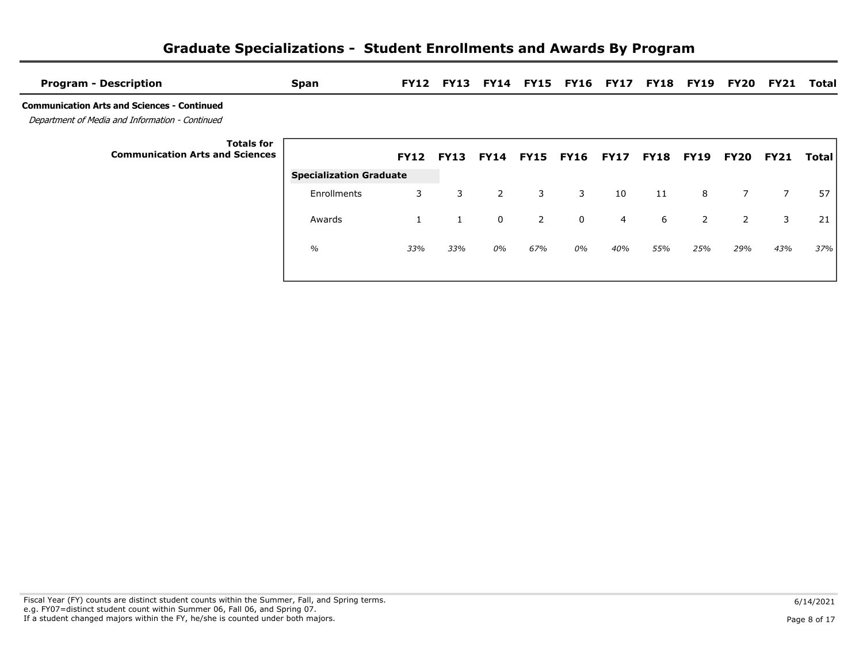|  | <b>Graduate Specializations - Student Enrollments and Awards By Program</b> |  |
|--|-----------------------------------------------------------------------------|--|
|--|-----------------------------------------------------------------------------|--|

| <b>Program - Description</b>                                                                          | <b>Span</b>                    | <b>FY12</b>      | <b>FY13</b> |                |             | FY14 FY15 FY16 FY17 FY18 FY19 |                |             |                | FY20           | FY21        | Total |
|-------------------------------------------------------------------------------------------------------|--------------------------------|------------------|-------------|----------------|-------------|-------------------------------|----------------|-------------|----------------|----------------|-------------|-------|
| <b>Communication Arts and Sciences - Continued</b><br>Department of Media and Information - Continued |                                |                  |             |                |             |                               |                |             |                |                |             |       |
| <b>Totals for</b><br><b>Communication Arts and Sciences</b>                                           |                                | <b>FY12 FY13</b> |             | <b>FY14</b>    | <b>FY15</b> | <b>FY16</b>                   | <b>FY17</b>    | <b>FY18</b> | <b>FY19</b>    | <b>FY20</b>    | <b>FY21</b> | Total |
|                                                                                                       | <b>Specialization Graduate</b> |                  |             |                |             |                               |                |             |                |                |             |       |
|                                                                                                       | Enrollments                    | 3                | 3           | $\overline{2}$ | 3           | 3                             | 10             | 11          | 8              | 7              | 7           | 57    |
|                                                                                                       | Awards                         |                  |             | $\overline{0}$ | 2           | $\mathbf 0$                   | $\overline{4}$ | 6           | $\overline{2}$ | $\overline{2}$ | 3           | 21    |
|                                                                                                       | $\%$                           | 33%              | 33%         | 0%             | 67%         | 0%                            | 40%            | 55%         | 25%            | 29%            | 43%         | 37%   |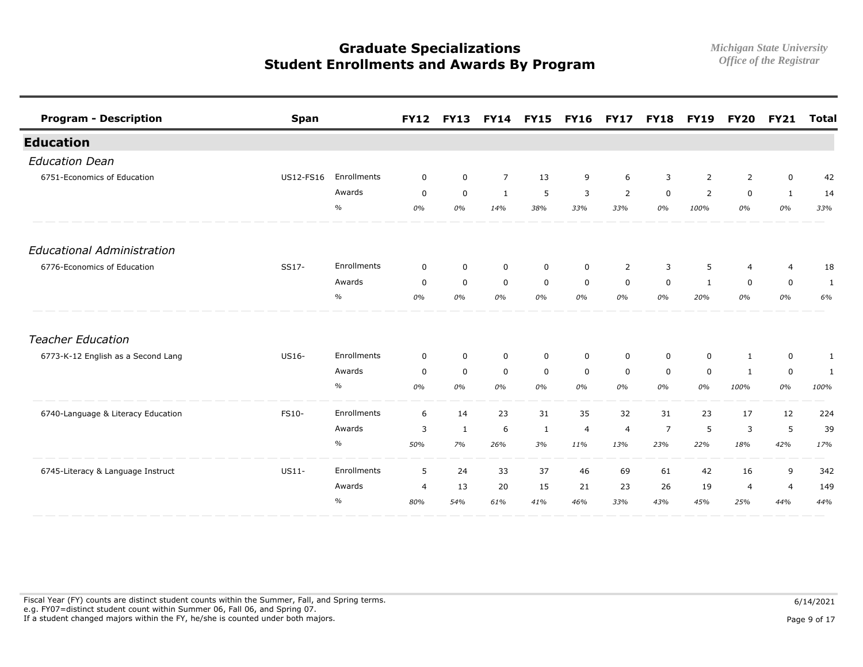| <b>Program - Description</b>       | <b>Span</b> |               | <b>FY12</b>    |              | <b>FY13 FY14 FY15</b> |              | <b>FY16</b>    | <b>FY17</b>    |                | <b>FY18 FY19</b> |                | <b>FY20 FY21</b> | <b>Total</b> |
|------------------------------------|-------------|---------------|----------------|--------------|-----------------------|--------------|----------------|----------------|----------------|------------------|----------------|------------------|--------------|
| <b>Education</b>                   |             |               |                |              |                       |              |                |                |                |                  |                |                  |              |
| <b>Education Dean</b>              |             |               |                |              |                       |              |                |                |                |                  |                |                  |              |
| 6751-Economics of Education        | US12-FS16   | Enrollments   | 0              | $\mathbf 0$  | $\overline{7}$        | 13           | 9              | 6              | 3              | 2                | 2              | $\mathbf 0$      | 42           |
|                                    |             | Awards        | $\mathbf 0$    | $\mathbf 0$  | $\mathbf{1}$          | 5            | 3              | 2              | $\Omega$       | $\overline{2}$   | $\mathbf 0$    | $\mathbf{1}$     | 14           |
|                                    |             | $\%$          | 0%             | 0%           | 14%                   | 38%          | 33%            | 33%            | 0%             | 100%             | 0%             | 0%               | 33%          |
| <b>Educational Administration</b>  |             |               |                |              |                       |              |                |                |                |                  |                |                  |              |
| 6776-Economics of Education        | SS17-       | Enrollments   | $\mathbf 0$    | $\mathbf 0$  | $\mathbf 0$           | $\mathbf 0$  | $\mathbf 0$    | $\overline{2}$ | 3              | 5                | $\overline{4}$ | 4                | 18           |
|                                    |             | Awards        | $\mathbf 0$    | $\mathbf 0$  | $\mathbf 0$           | $\mathsf{O}$ | $\mathbf 0$    | $\mathbf 0$    | $\mathbf 0$    | $\mathbf{1}$     | $\mathbf 0$    | $\mathbf 0$      | 1            |
|                                    |             | $\%$          | 0%             | 0%           | 0%                    | 0%           | 0%             | 0%             | 0%             | 20%              | 0%             | 0%               | 6%           |
| <b>Teacher Education</b>           |             |               |                |              |                       |              |                |                |                |                  |                |                  |              |
| 6773-K-12 English as a Second Lang | US16-       | Enrollments   | $\mathbf 0$    | $\mathbf 0$  | $\mathsf{O}$          | $\mathbf 0$  | $\mathbf 0$    | $\mathbf 0$    | $\mathbf 0$    | $\mathbf 0$      | 1              | $\mathbf 0$      | 1            |
|                                    |             | Awards        | $\mathbf 0$    | $\mathbf 0$  | $\mathbf 0$           | $\mathbf 0$  | $\mathbf 0$    | $\mathbf 0$    | $\mathbf 0$    | $\mathbf 0$      | 1              | $\mathbf 0$      | 1            |
|                                    |             | $\%$          | 0%             | 0%           | 0%                    | 0%           | 0%             | 0%             | 0%             | 0%               | 100%           | 0%               | 100%         |
| 6740-Language & Literacy Education | FS10-       | Enrollments   | 6              | 14           | 23                    | 31           | 35             | 32             | 31             | 23               | 17             | 12               | 224          |
|                                    |             | Awards        | 3              | $\mathbf{1}$ | 6                     | 1            | $\overline{4}$ | $\overline{4}$ | $\overline{7}$ | 5                | 3              | 5                | 39           |
|                                    |             | $\%$          | 50%            | 7%           | 26%                   | 3%           | 11%            | 13%            | 23%            | 22%              | 18%            | 42%              | 17%          |
| 6745-Literacy & Language Instruct  | US11-       | Enrollments   | 5              | 24           | 33                    | 37           | 46             | 69             | 61             | 42               | 16             | 9                | 342          |
|                                    |             | Awards        | $\overline{4}$ | 13           | 20                    | 15           | 21             | 23             | 26             | 19               | $\overline{4}$ | $\overline{4}$   | 149          |
|                                    |             | $\frac{0}{0}$ | 80%            | 54%          | 61%                   | 41%          | 46%            | 33%            | 43%            | 45%              | 25%            | 44%              | 44%          |

Fiscal Year (FY) counts are distinct student counts within the Summer, Fall, and Spring terms.  $6/14/2021$  e.g. FY07=distinct student count within Summer 06, Fall 06, and Spring 07. If a student changed majors within the FY, he/she is counted under both majors. Page 9 of 17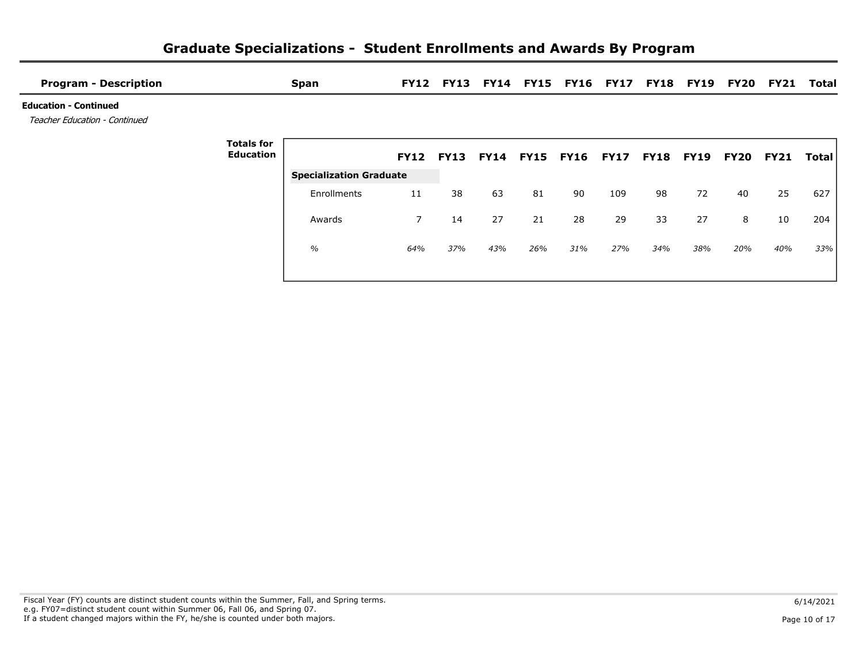| <b>Program - Description</b>                                  |                                       | <b>Span</b>                    | <b>FY12</b> |             |             |             | FY13 FY14 FY15 FY16 FY17 FY18 |             |             | <b>FY19</b> | FY20        | <b>FY21</b> | Total |
|---------------------------------------------------------------|---------------------------------------|--------------------------------|-------------|-------------|-------------|-------------|-------------------------------|-------------|-------------|-------------|-------------|-------------|-------|
| <b>Education - Continued</b><br>Teacher Education - Continued |                                       |                                |             |             |             |             |                               |             |             |             |             |             |       |
|                                                               | <b>Totals for</b><br><b>Education</b> |                                | <b>FY12</b> | <b>FY13</b> | <b>FY14</b> | <b>FY15</b> | <b>FY16</b>                   | <b>FY17</b> | <b>FY18</b> | <b>FY19</b> | <b>FY20</b> | <b>FY21</b> | Total |
|                                                               |                                       | <b>Specialization Graduate</b> |             |             |             |             |                               |             |             |             |             |             |       |
|                                                               |                                       | Enrollments                    | 11          | 38          | 63          | 81          | 90                            | 109         | 98          | 72          | 40          | 25          | 627   |
|                                                               |                                       | Awards                         | 7           | 14          | 27          | 21          | 28                            | 29          | 33          | 27          | 8           | 10          | 204   |
|                                                               |                                       | $\frac{0}{0}$                  | 64%         | 37%         | 43%         | 26%         | 31%                           | 27%         | 34%         | 38%         | 20%         | 40%         | 33%   |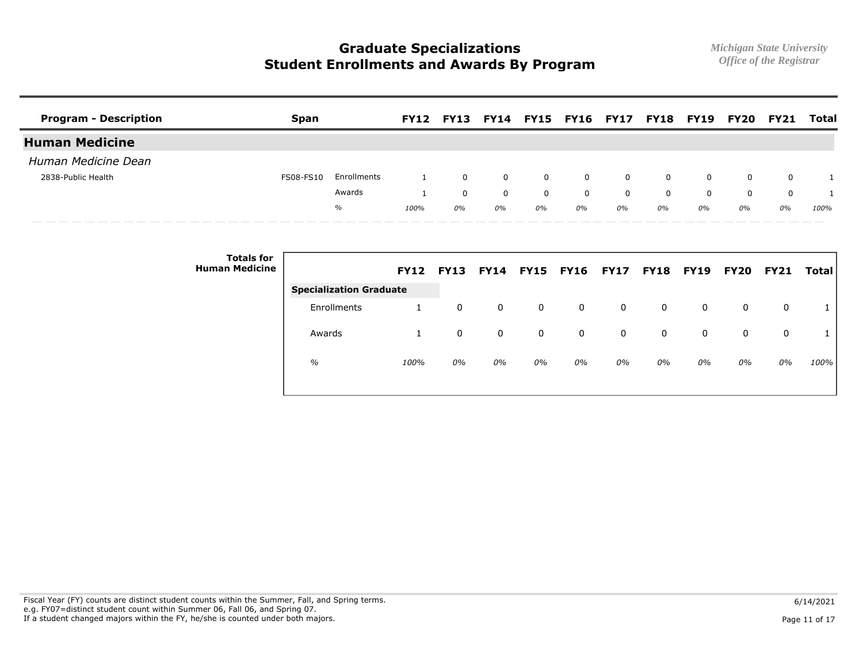| <b>Program - Description</b> | <b>Span</b> |             |      | <b>FY12 FY13</b> |              |                | FY14 FY15 FY16 FY17 FY18 FY19 FY20 |                |              |          |          | <b>FY21</b> | Total        |
|------------------------------|-------------|-------------|------|------------------|--------------|----------------|------------------------------------|----------------|--------------|----------|----------|-------------|--------------|
| <b>Human Medicine</b>        |             |             |      |                  |              |                |                                    |                |              |          |          |             |              |
| Human Medicine Dean          |             |             |      |                  |              |                |                                    |                |              |          |          |             |              |
| 2838-Public Health           | FS08-FS10   | Enrollments |      | $\Omega$         | $\mathbf{0}$ | $\overline{0}$ | $\Omega$                           | $\overline{0}$ | $\mathbf{0}$ | $\Omega$ | $\Omega$ | $\mathbf 0$ | $\mathbf{1}$ |
|                              |             | Awards      |      | $\mathbf 0$      | $\mathbf{0}$ | $\mathbf{0}$   | $\Omega$                           | $\Omega$       | $\mathbf{0}$ | $\Omega$ | $\Omega$ | $\Omega$    | $\mathbf{1}$ |
|                              |             | $\%$        | 100% | 0%               | 0%           | 0%             | 0%                                 | 0%             | 0%           | 0%       | 0%       | 0%          | 100%         |

| <b>Totals for</b><br><b>Human Medicine</b> |                                | <b>FY12</b> | <b>FY13</b> | <b>FY14</b> | <b>FY15 FY16</b> |    | <b>FY17</b> | <b>FY18 FY19</b> |    | <b>FY20</b> | <b>FY21</b> | Total |
|--------------------------------------------|--------------------------------|-------------|-------------|-------------|------------------|----|-------------|------------------|----|-------------|-------------|-------|
|                                            | <b>Specialization Graduate</b> |             |             |             |                  |    |             |                  |    |             |             |       |
|                                            | Enrollments                    |             | 0           | 0           | $\mathbf{0}$     | 0  | 0           | 0                | 0  | 0           |             |       |
|                                            | Awards                         |             | 0           | 0           | 0                | 0  | 0           | 0                | 0  | 0           | $\Omega$    |       |
|                                            | $\%$                           | 100%        | 0%          | 0%          | 0%               | 0% | 0%          | 0%               | 0% | 0%          | 0%          | 100%  |
|                                            |                                |             |             |             |                  |    |             |                  |    |             |             |       |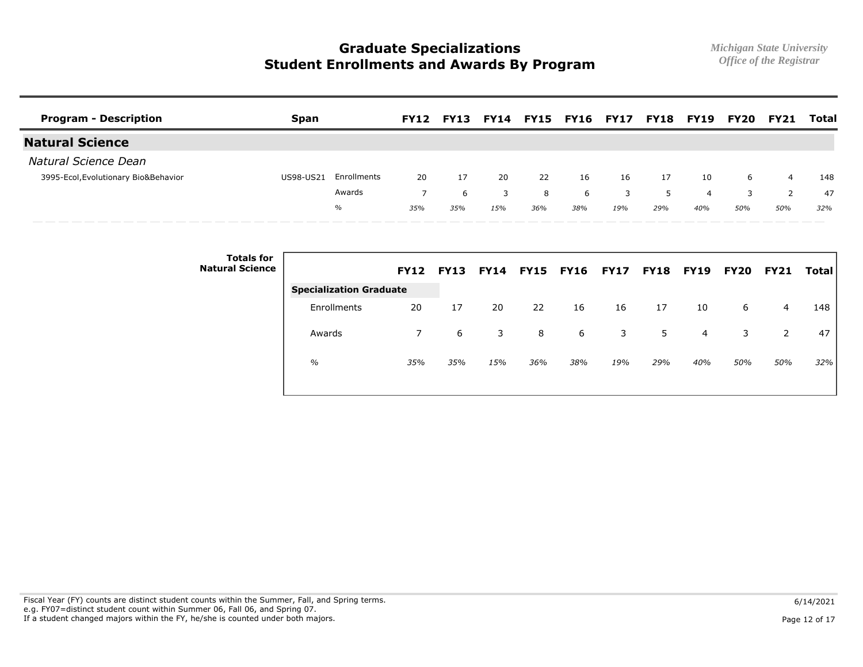| <b>Program - Description</b>         | <b>Span</b> |             | <b>FY12</b> | <b>FY13</b> | FY14 |     | <b>FY15 FY16 FY17</b> |     | FY18 | <b>FY19</b> | FY20 | <b>FY21</b>    | <b>Total</b> |
|--------------------------------------|-------------|-------------|-------------|-------------|------|-----|-----------------------|-----|------|-------------|------|----------------|--------------|
| <b>Natural Science</b>               |             |             |             |             |      |     |                       |     |      |             |      |                |              |
| Natural Science Dean                 |             |             |             |             |      |     |                       |     |      |             |      |                |              |
| 3995-Ecol, Evolutionary Bio&Behavior | US98-US21   | Enrollments | 20          | 17          | 20   | 22  | 16                    | 16  | 17   | 10          | 6    | $\overline{4}$ | 148          |
|                                      |             | Awards      |             | 6           | 3    | 8   | 6                     |     | 5.   | 4           |      |                | 47           |
|                                      |             | $\%$        | 35%         | 35%         | 15%  | 36% | 38%                   | 19% | 29%  | 40%         | 50%  | 50%            | 32%          |

| <b>Totals for</b><br><b>Natural Science</b> |                                | <b>FY12</b> | <b>FY13</b> | <b>FY14</b> | <b>FY15 FY16</b> |     | <b>FY17</b> |     | <b>FY18 FY19</b> | <b>FY20</b> | <b>FY21</b> | <b>Total</b> |
|---------------------------------------------|--------------------------------|-------------|-------------|-------------|------------------|-----|-------------|-----|------------------|-------------|-------------|--------------|
|                                             | <b>Specialization Graduate</b> |             |             |             |                  |     |             |     |                  |             |             |              |
|                                             | Enrollments                    | 20          | 17          | 20          | 22               | 16  | 16          | 17  | 10               | 6           | 4           | 148          |
|                                             | Awards                         | 7           | 6           | 3           | 8                | 6   | 3           | 5   | $\overline{4}$   | 3           | 2           | 47           |
|                                             | $\frac{0}{0}$                  | 35%         | 35%         | 15%         | 36%              | 38% | 19%         | 29% | 40%              | 50%         | 50%         | 32%          |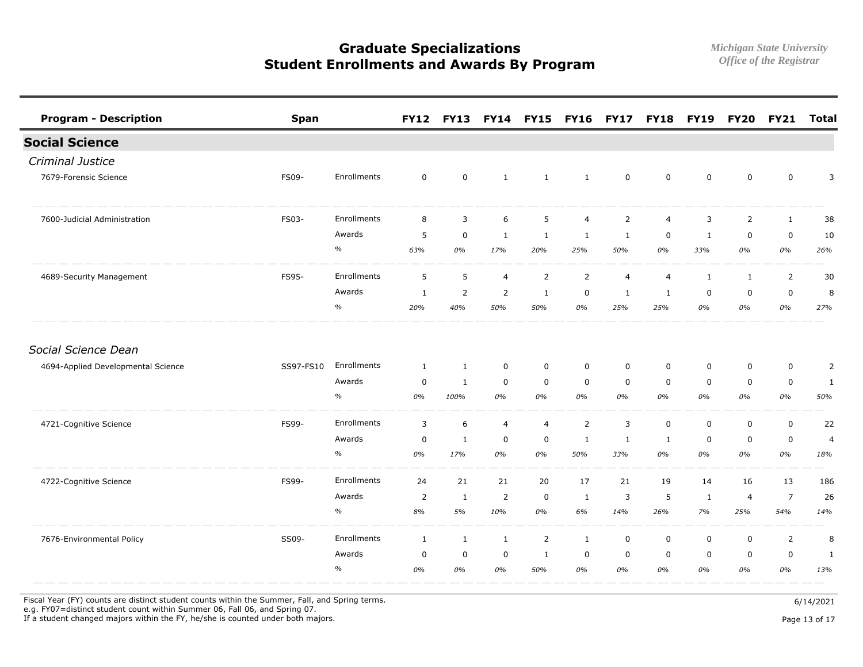| <b>Program - Description</b>       | <b>Span</b> |             |                | <b>FY12 FY13</b> |                  | FY14 FY15 FY16 |                | <b>FY17</b>    | <b>FY18</b>    | <b>FY19</b>  | <b>FY20</b>    | <b>FY21</b>    | <b>Total</b>   |
|------------------------------------|-------------|-------------|----------------|------------------|------------------|----------------|----------------|----------------|----------------|--------------|----------------|----------------|----------------|
| <b>Social Science</b>              |             |             |                |                  |                  |                |                |                |                |              |                |                |                |
| Criminal Justice                   |             |             |                |                  |                  |                |                |                |                |              |                |                |                |
| 7679-Forensic Science              | FS09-       | Enrollments | $\mathbf 0$    | $\mathbf 0$      | $\mathbf{1}$     | $\mathbf{1}$   | 1              | $\mathbf 0$    | $\mathbf 0$    | $\mathbf 0$  | $\mathbf 0$    | $\mathbf 0$    | 3              |
| 7600-Judicial Administration       | FS03-       | Enrollments | 8              | 3                | $\boldsymbol{6}$ | 5              | $\overline{4}$ | $\overline{2}$ | $\overline{4}$ | 3            | $\overline{2}$ | $\mathbf{1}$   | 38             |
|                                    |             | Awards      | 5              | $\mathsf 0$      | $\mathbf{1}$     | $\mathbf{1}$   | $\mathbf{1}$   | $\mathbf{1}$   | $\mathbf 0$    | 1            | $\pmb{0}$      | $\pmb{0}$      | 10             |
|                                    |             | $\%$        | 63%            | 0%               | 17%              | 20%            | 25%            | 50%            | 0%             | 33%          | $0\%$          | $0\%$          | 26%            |
| 4689-Security Management           | FS95-       | Enrollments | 5              | 5                | $\overline{4}$   | $\overline{2}$ | $\overline{2}$ | $\overline{4}$ | $\overline{4}$ | $\mathbf{1}$ | 1              | $\overline{2}$ | 30             |
|                                    |             | Awards      | 1              | 2                | 2                | 1              | $\mathbf 0$    | 1              | 1              | $\mathbf 0$  | $\mathbf 0$    | 0              | 8              |
|                                    |             | $\%$        | 20%            | 40%              | 50%              | 50%            | 0%             | 25%            | 25%            | 0%           | 0%             | $0\%$          | 27%            |
| Social Science Dean                |             |             |                |                  |                  |                |                |                |                |              |                |                |                |
| 4694-Applied Developmental Science | SS97-FS10   | Enrollments | $\mathbf{1}$   | $\mathbf{1}$     | $\mathsf 0$      | $\mathsf 0$    | $\mathbf 0$    | $\mathbf 0$    | $\mathbf 0$    | $\mathbf 0$  | $\mathbf 0$    | $\mathsf 0$    | $\overline{2}$ |
|                                    |             | Awards      | $\mathbf 0$    | $\mathbf{1}$     | $\mathbf 0$      | $\mathbf 0$    | $\mathbf 0$    | $\mathbf 0$    | $\mathbf 0$    | $\mathbf 0$  | $\mathbf 0$    | 0              | 1              |
|                                    |             | $\%$        | 0%             | 100%             | 0%               | 0%             | 0%             | 0%             | 0%             | 0%           | 0%             | 0%             | 50%            |
| 4721-Cognitive Science             | FS99-       | Enrollments | 3              | 6                | $\overline{4}$   | 4              | $\overline{2}$ | 3              | $\mathbf 0$    | $\mathbf 0$  | $\mathbf 0$    | $\mathbf 0$    | 22             |
|                                    |             | Awards      | $\mathbf 0$    | $\mathbf{1}$     | $\pmb{0}$        | $\mathsf 0$    | 1              | 1              | $\mathbf{1}$   | $\mathbf 0$  | $\mathbf 0$    | $\pmb{0}$      | $\overline{4}$ |
|                                    |             | $\%$        | 0%             | 17%              | 0%               | 0%             | 50%            | 33%            | 0%             | 0%           | 0%             | 0%             | 18%            |
| 4722-Cognitive Science             | FS99-       | Enrollments | 24             | 21               | 21               | 20             | 17             | 21             | 19             | 14           | 16             | 13             | 186            |
|                                    |             | Awards      | $\overline{2}$ | $\mathbf{1}$     | 2                | $\mathbf 0$    | 1              | 3              | 5              | $\mathbf{1}$ | 4              | $\overline{7}$ | 26             |
|                                    |             | $\%$        | $8\%$          | 5%               | 10%              | 0%             | 6%             | 14%            | 26%            | 7%           | 25%            | 54%            | 14%            |
| 7676-Environmental Policy          | SS09-       | Enrollments | $\mathbf{1}$   | $\mathbf{1}$     | $\mathbf{1}$     | $\overline{2}$ | $\mathbf{1}$   | $\mathbf 0$    | $\mathbf 0$    | $\mathbf 0$  | $\mathbf 0$    | $\overline{2}$ | 8              |
|                                    |             | Awards      | $\mathbf 0$    | $\mathsf 0$      | $\pmb{0}$        | 1              | $\mathbf 0$    | $\mathbf 0$    | $\mathbf 0$    | $\mathbf 0$  | $\mathbf 0$    | $\mathbf 0$    | $\mathbf{1}$   |
|                                    |             | $\%$        | 0%             | 0%               | 0%               | 50%            | 0%             | 0%             | 0%             | 0%           | 0%             | 0%             | 13%            |

Fiscal Year (FY) counts are distinct student counts within the Summer, Fall, and Spring terms.  $6/14/2021$ 

e.g. FY07=distinct student count within Summer 06, Fall 06, and Spring 07.

If a student changed majors within the FY, he/she is counted under both majors. Page 13 of 17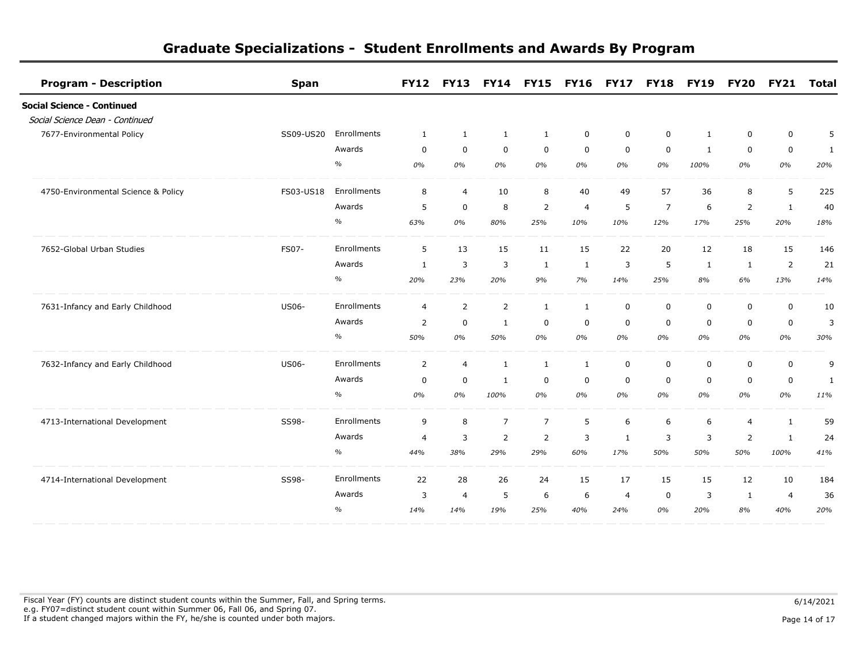| <b>Program - Description</b>        | <b>Span</b>  |             | <b>FY12</b>    | <b>FY13</b>    |                | <b>FY14 FY15</b> | <b>FY16</b>    | <b>FY17</b>    | <b>FY18</b>    | <b>FY19</b>  | <b>FY20</b>    | <b>FY21</b>    | <b>Total</b> |
|-------------------------------------|--------------|-------------|----------------|----------------|----------------|------------------|----------------|----------------|----------------|--------------|----------------|----------------|--------------|
| <b>Social Science - Continued</b>   |              |             |                |                |                |                  |                |                |                |              |                |                |              |
| Social Science Dean - Continued     |              |             |                |                |                |                  |                |                |                |              |                |                |              |
| 7677-Environmental Policy           | SS09-US20    | Enrollments | 1              | $\mathbf{1}$   | $\mathbf{1}$   | $\mathbf{1}$     | $\mathbf 0$    | 0              | 0              | $\mathbf{1}$ | 0              | $\mathbf 0$    | 5            |
|                                     |              | Awards      | $\mathbf 0$    | $\mathbf 0$    | $\mathbf 0$    | $\mathbf 0$      | $\mathbf 0$    | $\mathbf 0$    | $\mathbf 0$    | $\mathbf{1}$ | $\mathbf 0$    | $\mathbf 0$    | $\mathbf{1}$ |
|                                     |              | $\%$        | 0%             | 0%             | 0%             | 0%               | 0%             | 0%             | 0%             | 100%         | 0%             | 0%             | 20%          |
| 4750-Environmental Science & Policy | FS03-US18    | Enrollments | 8              | $\overline{4}$ | 10             | 8                | 40             | 49             | 57             | 36           | 8              | 5              | 225          |
|                                     |              | Awards      | 5              | $\mathbf 0$    | 8              | $\overline{2}$   | $\overline{4}$ | 5              | $\overline{7}$ | 6            | $\overline{2}$ | $\mathbf{1}$   | 40           |
|                                     |              | $\%$        | 63%            | 0%             | 80%            | 25%              | 10%            | 10%            | 12%            | 17%          | 25%            | 20%            | 18%          |
| 7652-Global Urban Studies           | FS07-        | Enrollments | 5              | 13             | 15             | 11               | 15             | 22             | 20             | 12           | 18             | 15             | 146          |
|                                     |              | Awards      | 1              | 3              | 3              | 1                | 1              | 3              | 5              | 1            | $\mathbf{1}$   | $\overline{2}$ | 21           |
|                                     |              | $\%$        | 20%            | 23%            | 20%            | 9%               | 7%             | 14%            | 25%            | 8%           | 6%             | 13%            | 14%          |
| 7631-Infancy and Early Childhood    | <b>US06-</b> | Enrollments | $\overline{4}$ | $\overline{2}$ | $\overline{2}$ | $\mathbf{1}$     | $\mathbf{1}$   | $\mathbf 0$    | $\mathbf 0$    | 0            | $\mathbf 0$    | $\mathbf 0$    | 10           |
|                                     |              | Awards      | $\overline{2}$ | $\mathbf 0$    | 1              | $\mathbf 0$      | $\mathbf 0$    | 0              | $\mathbf 0$    | 0            | $\mathbf 0$    | $\mathbf 0$    | 3            |
|                                     |              | %           | 50%            | 0%             | 50%            | 0%               | 0%             | 0%             | 0%             | 0%           | 0%             | 0%             | 30%          |
| 7632-Infancy and Early Childhood    | <b>US06-</b> | Enrollments | 2              | $\overline{4}$ | $\mathbf{1}$   | $\mathbf{1}$     | $\mathbf{1}$   | $\mathbf 0$    | $\mathbf 0$    | 0            | $\mathbf 0$    | $\mathbf 0$    | 9            |
|                                     |              | Awards      | $\mathbf 0$    | $\mathbf 0$    | $\mathbf{1}$   | 0                | $\mathbf 0$    | 0              | $\mathbf 0$    | $\mathbf 0$  | $\mathbf 0$    | $\mathbf 0$    | $\mathbf{1}$ |
|                                     |              | $\%$        | 0%             | 0%             | 100%           | 0%               | 0%             | 0%             | 0%             | 0%           | 0%             | 0%             | 11%          |
| 4713-International Development      | SS98-        | Enrollments | 9              | 8              | $\overline{7}$ | $\overline{7}$   | 5              | 6              | 6              | 6            | $\overline{4}$ | $\mathbf{1}$   | 59           |
|                                     |              | Awards      | $\overline{4}$ | 3              | $\overline{2}$ | $\overline{2}$   | 3              | 1              | 3              | 3            | $\overline{2}$ | $\mathbf{1}$   | 24           |
|                                     |              | %           | 44%            | 38%            | 29%            | 29%              | 60%            | 17%            | 50%            | 50%          | 50%            | 100%           | 41%          |
| 4714-International Development      | SS98-        | Enrollments | 22             | 28             | 26             | 24               | 15             | 17             | 15             | 15           | 12             | 10             | 184          |
|                                     |              | Awards      | 3              | $\overline{4}$ | 5              | 6                | 6              | $\overline{4}$ | 0              | 3            | 1              | $\overline{4}$ | 36           |
|                                     |              | $\%$        | 14%            | 14%            | 19%            | 25%              | 40%            | 24%            | 0%             | 20%          | 8%             | 40%            | 20%          |

Fiscal Year (FY) counts are distinct student counts within the Summer, Fall, and Spring terms.  $6/14/2021$  e.g. FY07=distinct student count within Summer 06, Fall 06, and Spring 07. If a student changed majors within the FY, he/she is counted under both majors. Page 14 of 17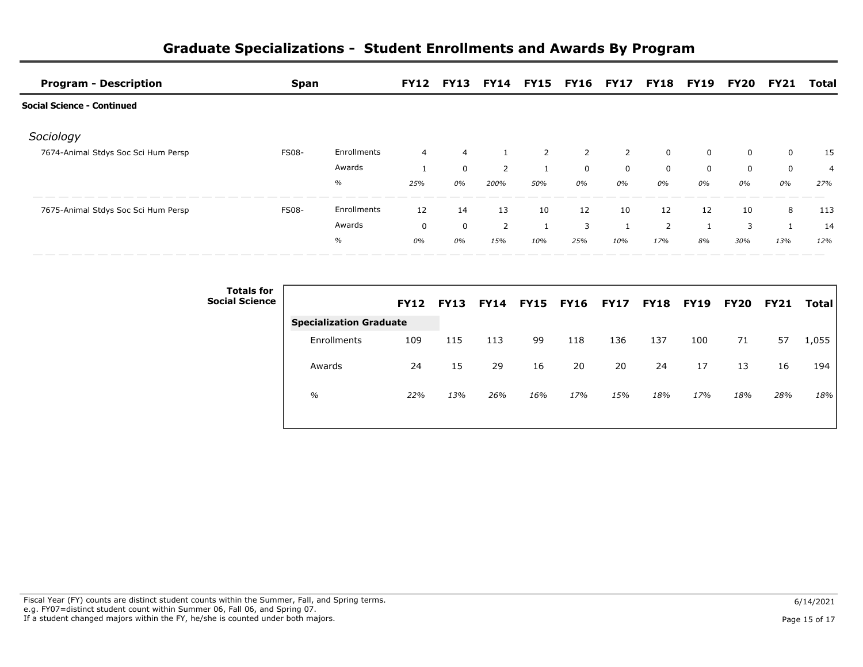| <b>Program - Description</b>        | <b>Span</b>  |             |                | <b>FY12 FY13</b> |                |     | <b>FY14 FY15 FY16 FY17</b> |                | <b>FY18 FY19</b> |          | FY20 | <b>FY21</b> | Total |
|-------------------------------------|--------------|-------------|----------------|------------------|----------------|-----|----------------------------|----------------|------------------|----------|------|-------------|-------|
| Social Science - Continued          |              |             |                |                  |                |     |                            |                |                  |          |      |             |       |
| Sociology                           |              |             |                |                  |                |     |                            |                |                  |          |      |             |       |
| 7674-Animal Stdys Soc Sci Hum Persp | <b>FS08-</b> | Enrollments | $\overline{4}$ | $\overline{4}$   |                | 2   | $\overline{2}$             | $\overline{2}$ | 0                | 0        | 0    | $\mathbf 0$ | -15   |
|                                     |              | Awards      |                | 0                | $\overline{2}$ |     | $\mathbf 0$                | $\mathbf 0$    | $\Omega$         | $\Omega$ | 0    | $\mathbf 0$ | 4     |
|                                     |              | $\%$        | 25%            | 0%               | 200%           | 50% | 0%                         | 0%             | 0%               | 0%       | 0%   | 0%          | 27%   |
| 7675-Animal Stdys Soc Sci Hum Persp | <b>FS08-</b> | Enrollments | 12             | 14               | 13             | 10  | 12                         | 10             | 12               | 12       | 10   | 8           | 113   |
|                                     |              | Awards      | $\mathbf 0$    | $\mathbf 0$      | $\overline{2}$ |     | 3                          |                | 2                |          | 3    |             | 14    |
|                                     |              | %           | 0%             | 0%               | 15%            | 10% | 25%                        | 10%            | 17%              | 8%       | 30%  | 13%         | 12%   |

| <b>Totals for</b><br><b>Social Science</b> |                                | <b>FY12</b> | <b>FY13</b> | <b>FY14</b> | <b>FY15</b> | <b>FY16</b> | <b>FY17 FY18</b> |     | <b>FY19</b> | <b>FY20</b> | <b>FY21</b> | <b>Total</b> |
|--------------------------------------------|--------------------------------|-------------|-------------|-------------|-------------|-------------|------------------|-----|-------------|-------------|-------------|--------------|
|                                            | <b>Specialization Graduate</b> |             |             |             |             |             |                  |     |             |             |             |              |
|                                            | Enrollments                    | 109         | 115         | 113         | 99          | 118         | 136              | 137 | 100         | 71          | 57          | 1,055        |
|                                            | Awards                         | 24          | 15          | 29          | 16          | 20          | 20               | 24  | 17          | 13          | 16          | 194          |
|                                            | $\%$                           | 22%         | 13%         | 26%         | 16%         | 17%         | 15%              | 18% | 17%         | 18%         | 28%         | 18%          |
|                                            |                                |             |             |             |             |             |                  |     |             |             |             |              |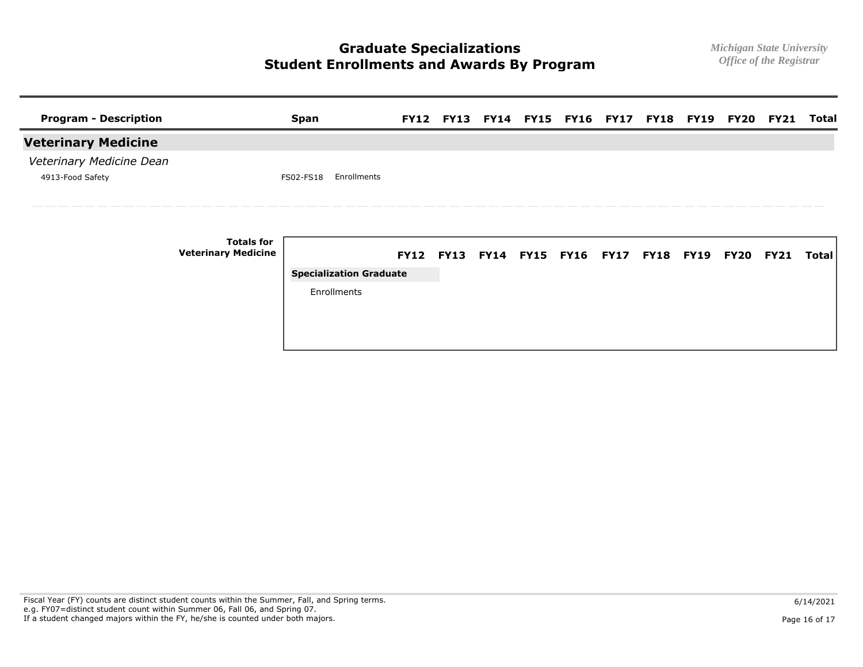| <b>Program - Description</b> |                                                 | <b>Span</b>                    |  |  | FY12 FY13 FY14 FY15 FY16 FY17 FY18 FY19 FY20 FY21 |  |  | Total |
|------------------------------|-------------------------------------------------|--------------------------------|--|--|---------------------------------------------------|--|--|-------|
| <b>Veterinary Medicine</b>   |                                                 |                                |  |  |                                                   |  |  |       |
| Veterinary Medicine Dean     |                                                 |                                |  |  |                                                   |  |  |       |
| 4913-Food Safety             |                                                 | Enrollments<br>FS02-FS18       |  |  |                                                   |  |  |       |
|                              |                                                 |                                |  |  |                                                   |  |  |       |
|                              |                                                 |                                |  |  |                                                   |  |  |       |
|                              | <b>Totals for</b><br><b>Veterinary Medicine</b> |                                |  |  | FY12 FY13 FY14 FY15 FY16 FY17 FY18 FY19 FY20 FY21 |  |  | Total |
|                              |                                                 | <b>Specialization Graduate</b> |  |  |                                                   |  |  |       |
|                              |                                                 | Enrollments                    |  |  |                                                   |  |  |       |
|                              |                                                 |                                |  |  |                                                   |  |  |       |
|                              |                                                 |                                |  |  |                                                   |  |  |       |
|                              |                                                 |                                |  |  |                                                   |  |  |       |